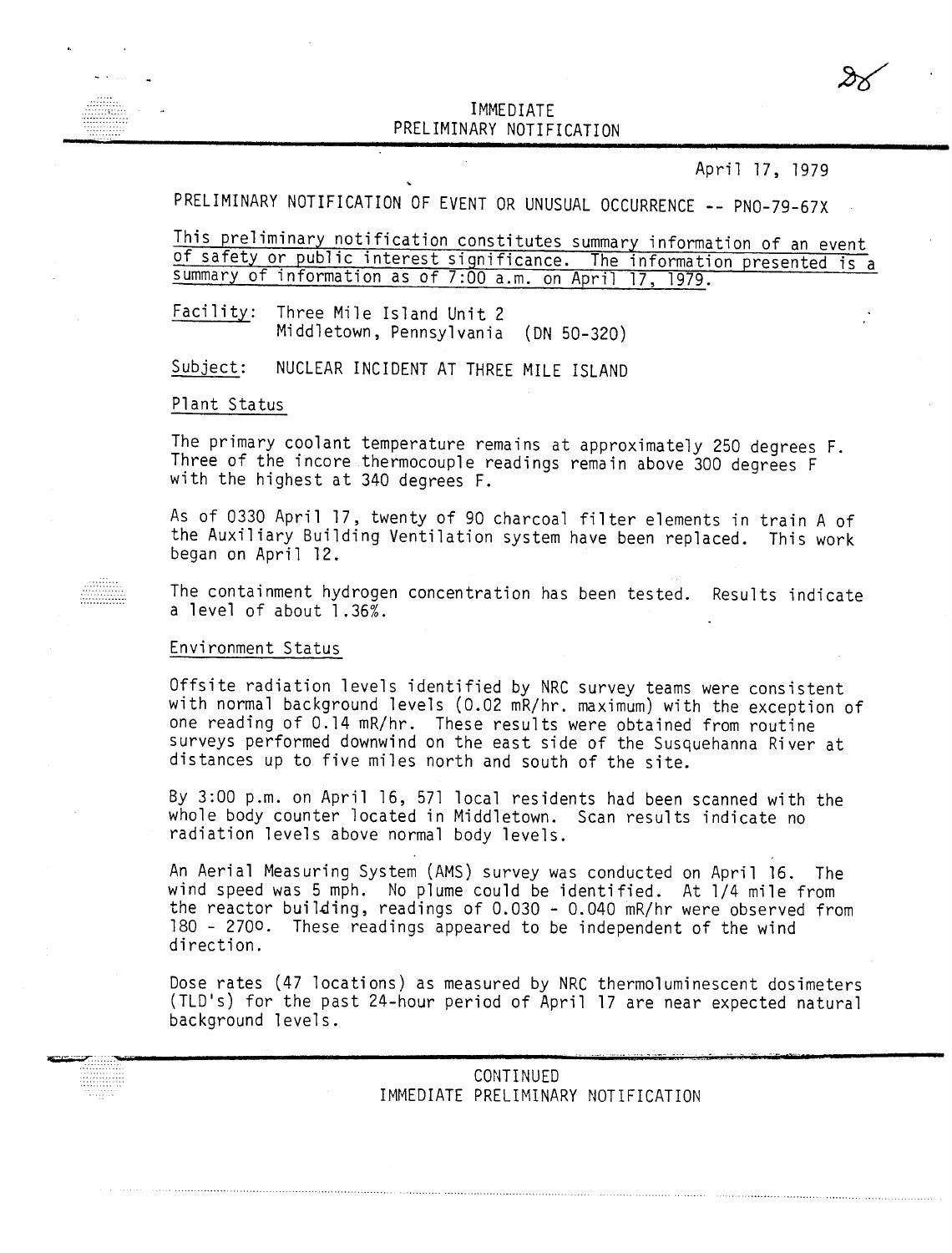## IMMEDIATE PRELIMINARY NOTIFICATIO

April 17, 1979

# PRELIMINARY NOTIFICATION OF EVENT OR UNUSUAL OCCURRENCE -- PNO-79-67X

This preliminary notification constitutes summary information of an event of safety or public interest significance. The information presented is a summary of information as of 7:00 a.m. on April 17, 1979.

Facility: Three Mile Island Unit 2 Middletown, Pennsylvania (DN 50-320)

 $Subject:$ NUCLEAR INCIDENT AT THREE MILE ISLAND

#### Plant Status

The primary coolant temperature remains at approximately 250 degrees F. Three of the incore thermocouple readings remain above 300 degrees F with the highest at 340 degrees F.

As of 0330 April 17, twenty of 90 charcoal filter elements in train A of the Auxiliary Building Ventilation system have been replaced. This work began on April 12.

The containment hydrogen concentration has been tested. Results indicate a level of about 1.36%.

#### Environment Status

Offsite radiation levels identified by NRC survey teams were consistent with normal background levels (0.02 mR/hr. maximum) with the exception of one reading of 0.14 mR/hr. These results were obtained from routine surveys performed downwind on the east side of the Susquehanna River at distances up to five miles north and south of the site.

By 3:00 p.m. on April 16, 571 local residents had been scanned with the whole body counter located in Middletown. Scan results indicate no radiation levels above normal body levels.

An Aerial Measuring System (AMS) survey was conducted on April 16. The wind speed was 5 mph. No plume could be identified. At 1/4 mile from the reactor building, readings of  $0.030 - 0.040$  mR/hr were observed from 180 - 2700. These readings appeared to be independent of the wind direction.

Dose rates (47 locations) as measured by NRC thermoluminescent dosimeters (TLD's) for the past 24-hour period of April 17 are near expected natural background levels.

> CONTINUED IMMEDIATE PRELIMINARY NOTIFICATION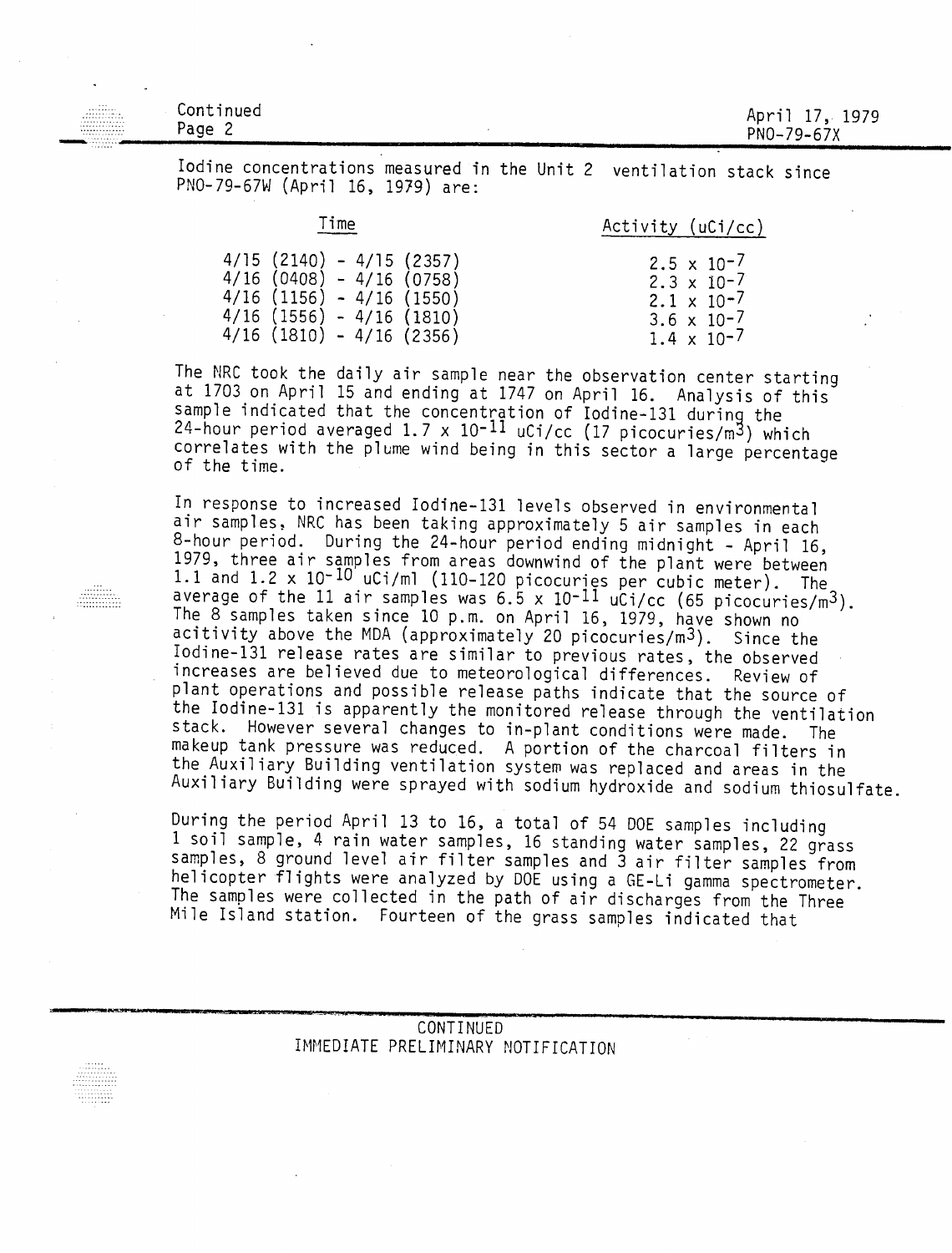| $\sim$<br>$\sim$<br><br>.<br>m<br>.<br>. | Continued<br>Page 2 | April 17, 1979<br>PN0-79-67X |
|------------------------------------------|---------------------|------------------------------|
|                                          |                     |                              |

Iodine concentrations measured in the Unit 2 ventilation stack since PNO-79-67W (April 16, 1979) are:

| Time                      | Activity (uCi/cc)    |
|---------------------------|----------------------|
| 4/15 (2140) – 4/15 (2357) | $2.5 \times 10^{-7}$ |
| 4/16 (0408) - 4/16 (0758) | $2.3 \times 10^{-7}$ |
| 4/16 (1156) - 4/16 (1550) | $2.1 \times 10^{-7}$ |
| 4/16 (1556) - 4/16 (1810) | 3.6 $\times$ 10-7    |
| 4/16 (1810) - 4/16 (2356) | $1.4 \times 10^{-7}$ |

The NRC took the daily air sample near the observation center starting at 1703 on April 15 and ending at 1747 on April 16. Analysis of this sample indicated that the concentration of Iodine-131 during the 24-hour period averaged 1.7 x 10-11 uCi/cc (17 picocuries/m3) which correlates with the plume wind being in this sector a large percentage of the time.

In response to increased Iodine-131 levels observed in environmental air samples, NRC has been taking approximately 5 air samples in each 8-hour period. During the 24-hour period ending midnight - April 16, 1979, three air samples from areas downwind of the plant were between 1.1 and 1.2 x 10-10 uCi/ml (110-120 picocuries per cubic meter). The average of the 11 air samples was  $6.5 \times 10^{-11}$  uCi/cc (65 picocuries/m<sup>3</sup>). The 8 samples taken since 10 p.m. on April 16, 1979, have shown no acitivity above the MDA (approximately 20 picocuries/m3). Since the Iodine-131 release rates are similar to previous rates, the observed increases are believed due to meteorological differences. Review of plant operations and possible release paths indicate that the source of the Iodine-131 is apparently the monitored release through the ventilation stack. However several changes to in-plant conditions were made. The makeup tank pressure was reduced. A portion of the charcoal filters in the Auxiliary Building ventilation system was replaced and areas in the Auxiliary Building were sprayed with sodium hydroxide and sodium thiosulfate.

During the period April 13 to 16, a total of 54 DOE samples including 1 soil sample, 4 rain water samples, 16 standing water samples, 22 grass samples, 8 ground level air filter samples and 3 air filter samples from helicopter flights were analyzed by DOE using a GE-Li gamma spectrometer. The samples were collected in the path of air discharges from the Three Mile Island station. Fourteen of the grass samples indicated that

### CONTINUED IMMEDIATE PRELIMINARY NOTIFICATION

. . . . . . . . . . . . . . .